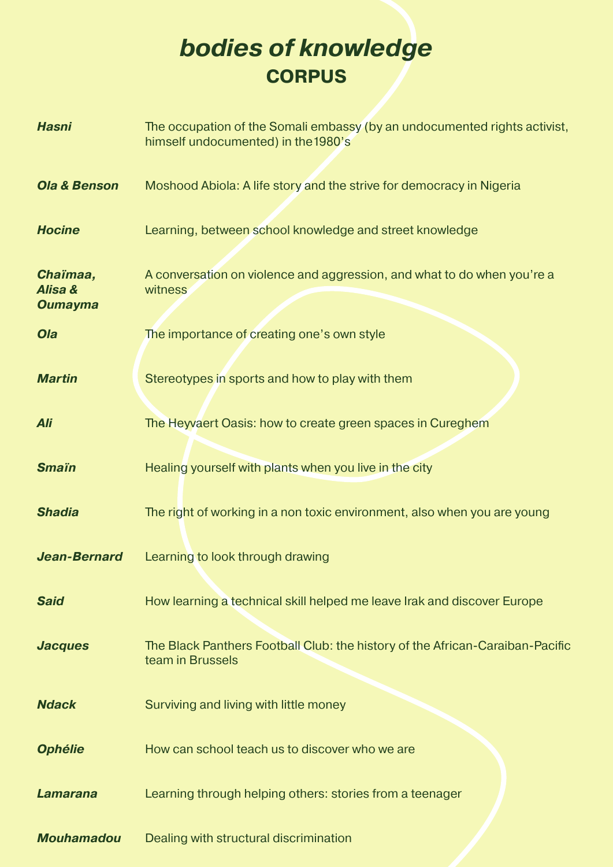## *bodies of knowledge* **CORPUS**

| <b>Hasni</b>                          | The occupation of the Somali embassy (by an undocumented rights activist,<br>himself undocumented) in the 1980's |
|---------------------------------------|------------------------------------------------------------------------------------------------------------------|
| <b>Ola &amp; Benson</b>               | Moshood Abiola: A life story and the strive for democracy in Nigeria                                             |
| <b>Hocine</b>                         | Learning, between school knowledge and street knowledge                                                          |
| Chaïmaa,<br>Alisa &<br><b>Oumayma</b> | A conversation on violence and aggression, and what to do when you're a<br>witness                               |
| Ola                                   | The importance of creating one's own style                                                                       |
| <b>Martin</b>                         | Stereotypes in sports and how to play with them                                                                  |
| Ali                                   | The Heyvaert Oasis: how to create green spaces in Cureghem                                                       |
| <b>Smain</b>                          | Healing yourself with plants when you live in the city                                                           |
| <b>Shadia</b>                         | The right of working in a non toxic environment, also when you are young                                         |
| <b>Jean-Bernard</b>                   | Learning to look through drawing                                                                                 |
| <b>Said</b>                           | How learning a technical skill helped me leave Irak and discover Europe                                          |
| <b>Jacques</b>                        | The Black Panthers Football Club: the history of the African-Caraiban-Pacific<br>team in Brussels                |
| <b>Ndack</b>                          | Surviving and living with little money                                                                           |
| <b>Ophélie</b>                        | How can school teach us to discover who we are                                                                   |
| <b>Lamarana</b>                       | Learning through helping others: stories from a teenager                                                         |
| <b>Mouhamadou</b>                     | Dealing with structural discrimination                                                                           |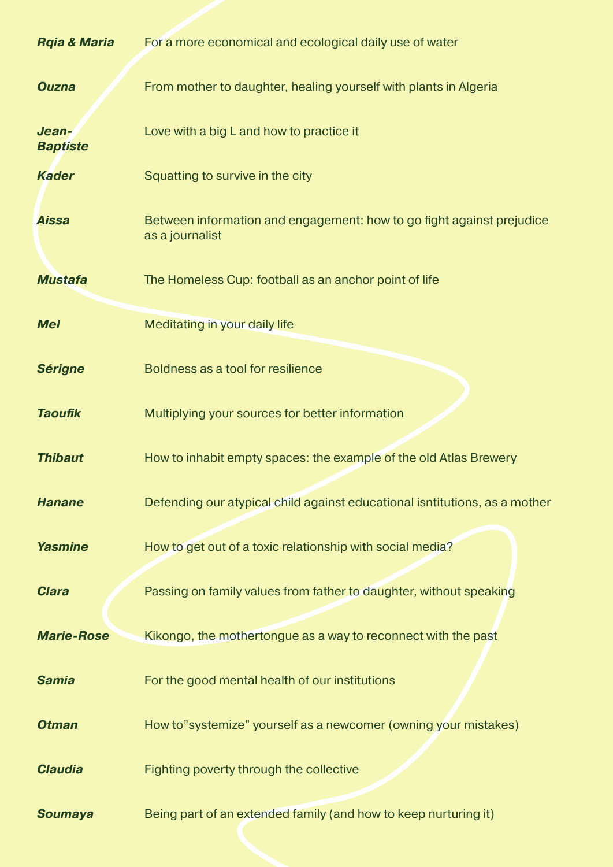| <b>Rgia &amp; Maria</b>  | For a more economical and ecological daily use of water                                  |
|--------------------------|------------------------------------------------------------------------------------------|
| <b>Ouzna</b>             | From mother to daughter, healing yourself with plants in Algeria                         |
| Jean-<br><b>Baptiste</b> | Love with a big L and how to practice it                                                 |
| <b>Kader</b>             | Squatting to survive in the city                                                         |
| <b>Aissa</b>             | Between information and engagement: how to go fight against prejudice<br>as a journalist |
| <b>Mustafa</b>           | The Homeless Cup: football as an anchor point of life                                    |
| <b>Mel</b>               | <b>Meditating in your daily life</b>                                                     |
| <b>Sérigne</b>           | Boldness as a tool for resilience                                                        |
| <b>Taoufik</b>           | Multiplying your sources for better information                                          |
| <b>Thibaut</b>           | How to inhabit empty spaces: the example of the old Atlas Brewery                        |
| <b>Hanane</b>            | Defending our atypical child against educational isntitutions, as a mother               |
| <b>Yasmine</b>           | How to get out of a toxic relationship with social media?                                |
| <b>Clara</b>             | Passing on family values from father to daughter, without speaking                       |
| <b>Marie-Rose</b>        | Kikongo, the mothertongue as a way to reconnect with the past                            |
| <b>Samia</b>             | For the good mental health of our institutions                                           |
| <b>Otman</b>             | How to"systemize" yourself as a newcomer (owning your mistakes)                          |
| <b>Claudia</b>           | Fighting poverty through the collective                                                  |
| <b>Soumaya</b>           | Being part of an extended family (and how to keep nurturing it)                          |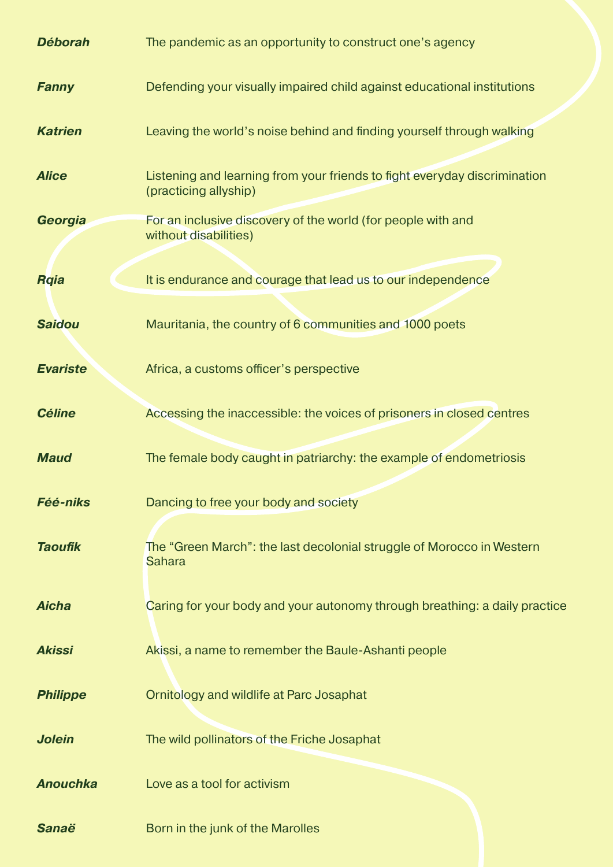| <b>Déborah</b>  | The pandemic as an opportunity to construct one's agency                                           |
|-----------------|----------------------------------------------------------------------------------------------------|
| <b>Fanny</b>    | Defending your visually impaired child against educational institutions                            |
| <b>Katrien</b>  | Leaving the world's noise behind and finding yourself through walking                              |
| <b>Alice</b>    | Listening and learning from your friends to fight everyday discrimination<br>(practicing allyship) |
| Georgia         | For an inclusive discovery of the world (for people with and<br>without disabilities)              |
| <b>Rqia</b>     | It is endurance and courage that lead us to our independence                                       |
| <b>Saidou</b>   | Mauritania, the country of 6 communities and 1000 poets                                            |
| <b>Evariste</b> | Africa, a customs officer's perspective                                                            |
| <b>Céline</b>   | Accessing the inaccessible: the voices of prisoners in closed centres                              |
| <b>Maud</b>     | The female body caught in patriarchy: the example of endometriosis                                 |
| <b>Féé-niks</b> | Dancing to free your body and society                                                              |
| <b>Taoufik</b>  | The "Green March": the last decolonial struggle of Morocco in Western<br><b>Sahara</b>             |
| <b>Aicha</b>    | Caring for your body and your autonomy through breathing: a daily practice                         |
| <b>Akissi</b>   | Akissi, a name to remember the Baule-Ashanti people                                                |
| <b>Philippe</b> | Ornitology and wildlife at Parc Josaphat                                                           |
| <b>Jolein</b>   | The wild pollinators of the Friche Josaphat                                                        |
| <b>Anouchka</b> | Love as a tool for activism                                                                        |
| <b>Sanaë</b>    | Born in the junk of the Marolles                                                                   |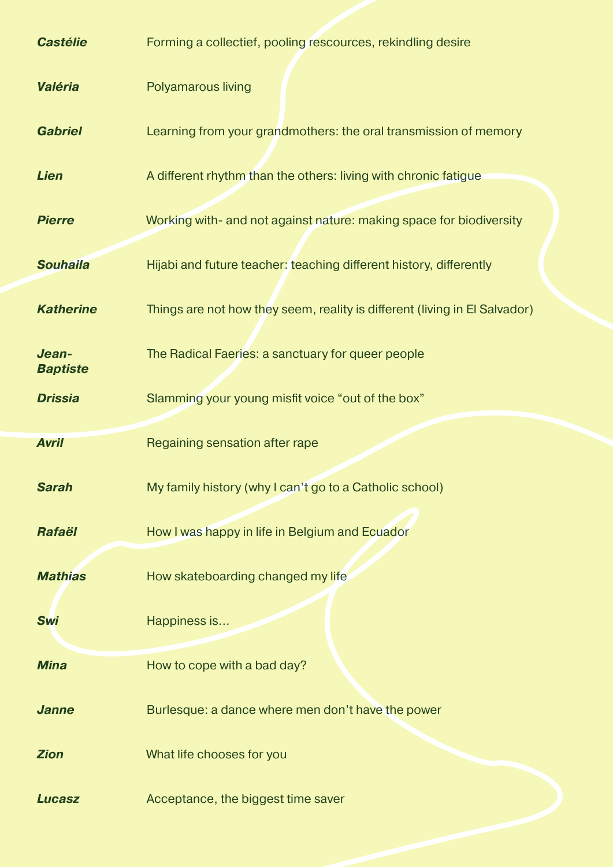| <b>Castélie</b>          | Forming a collectief, pooling rescources, rekindling desire                |
|--------------------------|----------------------------------------------------------------------------|
| Valéria                  | Polyamarous living                                                         |
| <b>Gabriel</b>           | Learning from your grandmothers: the oral transmission of memory           |
| <b>Lien</b>              | A different rhythm than the others: living with chronic fatigue            |
| <b>Pierre</b>            | Working with- and not against nature: making space for biodiversity        |
| <b>Souhaila</b>          | Hijabi and future teacher: teaching different history, differently         |
| <b>Katherine</b>         | Things are not how they seem, reality is different (living in El Salvador) |
| Jean-<br><b>Baptiste</b> | The Radical Faeries: a sanctuary for queer people                          |
| <b>Drissia</b>           | Slamming your young misfit voice "out of the box"                          |
|                          |                                                                            |
| <b>Avril</b>             | Regaining sensation after rape                                             |
| <b>Sarah</b>             | My family history (why I can't go to a Catholic school)                    |
| Rafaël                   | How I was happy in life in Belgium and Ecuador                             |
| <b>Mathias</b>           | How skateboarding changed my life                                          |
| <b>Swi</b>               | Happiness is                                                               |
| <b>Mina</b>              | How to cope with a bad day?                                                |
| <b>Janne</b>             | Burlesque: a dance where men don't have the power                          |
| <b>Zion</b>              | What life chooses for you                                                  |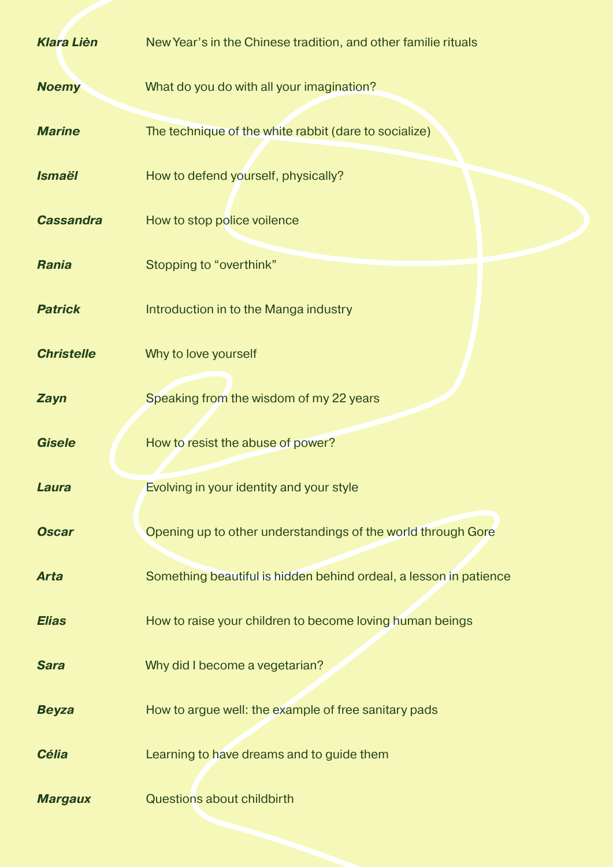| <b>Klara Lièn</b> | New Year's in the Chinese tradition, and other familie rituals    |
|-------------------|-------------------------------------------------------------------|
| <b>Noemy</b>      | What do you do with all your imagination?                         |
| <b>Marine</b>     | The technique of the white rabbit (dare to socialize)             |
| <b>Ismaël</b>     | How to defend yourself, physically?                               |
| <b>Cassandra</b>  | How to stop police voilence                                       |
| <b>Rania</b>      | Stopping to "overthink"                                           |
| <b>Patrick</b>    | Introduction in to the Manga industry                             |
| <b>Christelle</b> | Why to love yourself                                              |
| <b>Zayn</b>       | Speaking from the wisdom of my 22 years                           |
| <b>Gisele</b>     | How to resist the abuse of power?                                 |
| Laura             | Evolving in your identity and your style                          |
| <b>Oscar</b>      | Opening up to other understandings of the world through Gore      |
| <b>Arta</b>       | Something beautiful is hidden behind ordeal, a lesson in patience |
| <b>Elias</b>      | How to raise your children to become loving human beings          |
| <b>Sara</b>       | Why did I become a vegetarian?                                    |
| <b>Beyza</b>      | How to argue well: the example of free sanitary pads              |
| <b>Célia</b>      | Learning to have dreams and to guide them                         |
| <b>Margaux</b>    | <b>Questions about childbirth</b>                                 |